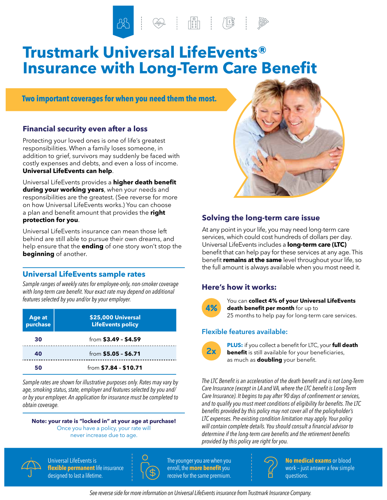$\begin{picture}(120,111){\small \textbf{1}} \put(120,111){\small \textbf{1}} \put(120,111){\small \textbf{1}} \put(120,111){\small \textbf{1}} \put(120,111){\small \textbf{1}} \put(120,111){\small \textbf{1}} \put(120,111){\small \textbf{1}} \put(120,111){\small \textbf{1}} \put(120,111){\small \textbf{1}} \put(120,111){\small \textbf{1}} \put(120,111){\small \textbf{1}} \put(120,11$ 

# **Trustmark Universal LifeEvents® Insurance with Long-Term Care Benefit**

**Two important coverages for when you need them the most.**

### **Financial security even after a loss**

Protecting your loved ones is one of life's greatest responsibilities. When a family loses someone, in addition to grief, survivors may suddenly be faced with costly expenses and debts, and even a loss of income. **Universal LifeEvents can help**.

Universal LifeEvents provides a **higher death benefit during your working years**, when your needs and responsibilities are the greatest. (See reverse for more on how Universal LifeEvents works.) You can choose a plan and benefit amount that provides the **right protection for you**.

Universal LifeEvents insurance can mean those left behind are still able to pursue their own dreams, and help ensure that the **ending** of one story won't stop the **beginning** of another.

### **Universal LifeEvents sample rates**

*Sample ranges of weekly rates for employee-only, non-smoker coverage with long-term care benefit. Your exact rate may depend on additional features selected by you and/or by your employer.*

| Age at<br>purchase | \$25,000 Universal<br><b>LifeEvents policy</b> |  |
|--------------------|------------------------------------------------|--|
| 30                 | from $$3.49 - $4.59$                           |  |
| 40                 | from \$5.05 - \$6.71                           |  |
| 50                 | from $$7.84 - $10.71$                          |  |

*Sample rates are shown for illustrative purposes only. Rates may vary by age, smoking status, state, employer and features selected by you and/ or by your employer. An application for insurance must be completed to obtain coverage.*

### **Note: your rate is "locked in" at your age at purchase!** Once you have a policy, your rate will

never increase due to age.



### **Solving the long-term care issue**

At any point in your life, you may need long-term care services, which could cost hundreds of dollars per day. Universal LifeEvents includes a **long-term care (LTC)** benefit that can help pay for these services at any age. This benefit **remains at the same** level throughout your life, so the full amount is always available when you most need it.

### **Here's how it works:**



You can **collect 4% of your Universal LifeEvents death benefit per month** for up to 25 months to help pay for long-term care services.

### **Flexible features available:**



**PLUS:** if you collect a benefit for LTC, your **full death benefit** is still available for your beneficiaries, as much as **doubling** your benefit.

*The LTC Benefit is an acceleration of the death benefit and is not Long-Term Care Insurance (except in LA and VA, where the LTC benefit is Long-Term Care Insurance). It begins to pay after 90 days of confinement or services, and to qualify you must meet conditions of eligibility for benefits. The LTC benefits provided by this policy may not cover all of the policyholder's LTC expenses. Pre-existing condition limitation may apply. Your policy will contain complete details. You should consult a financial advisor to determine if the long-term care benefits and the retirement benefits provided by this policy are right for you.*



 Universal LifeEvents is **flexible permanent** life insurance designed to last a lifetime.



 The younger you are when you enroll, the **more benefit**you receive for the same premium.



**No medical exams** or blood work – just answer a few simple questions.

*See reverse side for more information on Universal LifeEvents insurance from Trustmark Insurance Company.*